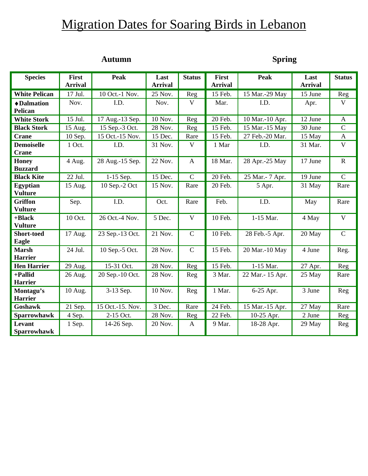# **Migration Dates for Soaring Birds in Lebanon**

# **Autumn Spring**

| <b>Species</b>             | First<br><b>Arrival</b> | <b>Peak</b>      | Last<br><b>Arrival</b> | <b>Status</b> | <b>First</b><br><b>Arrival</b> | <b>Peak</b>      | Last<br><b>Arrival</b> | <b>Status</b>  |
|----------------------------|-------------------------|------------------|------------------------|---------------|--------------------------------|------------------|------------------------|----------------|
| <b>White Pelican</b>       | 17 Jul.                 | 10 Oct.-1 Nov.   | 25 Nov.                | Reg           | 15 Feb.                        | 15 Mar.-29 May   | 15 June                | Reg            |
| ◆ Dalmation                | Nov.                    | I.D.             | Nov.                   | V             | Mar.                           | I.D.             | Apr.                   | $\mathbf V$    |
| <b>Pelican</b>             |                         |                  |                        |               |                                |                  |                        |                |
| <b>White Stork</b>         | 15 Jul.                 | 17 Aug.-13 Sep.  | 10 Nov.                | Reg           | 20 Feb.                        | 10 Mar.-10 Apr.  | 12 June                | $\mathbf{A}$   |
| <b>Black Stork</b>         | 15 Aug.                 | 15 Sep.-3 Oct.   | 28 Nov.                | Reg           | 15 Feb.                        | 15 Mar.-15 May   | 30 June                | $\mathbf C$    |
| <b>Crane</b>               | 10 Sep.                 | 15 Oct.-15 Nov.  | 15 Dec.                | Rare          | 15 Feb.                        | 27 Feb.-20 Mar.  | 15 May                 | $\mathbf{A}$   |
| <b>Demoiselle</b>          | 1 Oct.                  | I.D.             | 31 Nov.                | V             | 1 Mar                          | I.D.             | 31 Mar.                | $\mathbf{V}$   |
| <b>Crane</b>               |                         |                  |                        |               |                                |                  |                        |                |
| <b>Honey</b>               | 4 Aug.                  | 28 Aug.-15 Sep.  | 22 Nov.                | $\mathbf{A}$  | 18 Mar.                        | 28 Apr.-25 May   | 17 June                | $\mathbf R$    |
| <b>Buzzard</b>             |                         |                  |                        |               |                                |                  |                        |                |
| <b>Black Kite</b>          | 22 Jul.                 | 1-15 Sep.        | 15 Dec.                | $\mathsf{C}$  | 20 Feb.                        | 25 Mar.- 7 Apr.  | 19 June                | $\overline{C}$ |
| <b>Egyptian</b>            | 15 Aug.                 | 10 Sep.-2 Oct    | 15 Nov.                | Rare          | 20 Feb.                        | 5 Apr.           | 31 May                 | Rare           |
| <b>Vulture</b>             |                         |                  |                        |               |                                |                  |                        |                |
| <b>Griffon</b>             | Sep.                    | I.D.             | Oct.                   | Rare          | Feb.                           | I.D.             | May                    | Rare           |
| <b>Vulture</b>             |                         |                  |                        |               |                                |                  |                        |                |
| +Black                     | 10 Oct.                 | 26 Oct.-4 Nov.   | 5 Dec.                 | $\mathbf{V}$  | 10 Feb.                        | 1-15 Mar.        | 4 May                  | $\mathbf V$    |
| <b>Vulture</b>             |                         |                  |                        |               |                                |                  |                        | $\mathbf C$    |
| <b>Short-toed</b><br>Eagle | 17 Aug.                 | 23 Sep.-13 Oct.  | 21 Nov.                | $\mathsf{C}$  | 10 Feb.                        | 28 Feb.-5 Apr.   | 20 May                 |                |
| <b>Marsh</b>               | 24 Jul.                 | 10 Sep.-5 Oct.   | 28 Nov.                | $\mathsf{C}$  | 15 Feb.                        | 20 Mar.-10 May   | 4 June                 | Reg.           |
| <b>Harrier</b>             |                         |                  |                        |               |                                |                  |                        |                |
| <b>Hen Harrier</b>         | 29 Aug.                 | 15-31 Oct.       | 28 Nov.                | Reg           | 15 Feb.                        | 1-15 Mar.        | 27 Apr.                | Reg            |
| +Pallid                    | 26 Aug.                 | 20 Sep.-10 Oct.  | 28 Nov.                | Reg           | 3 Mar.                         | 22 Mar.- 15 Apr. | 25 May                 | Rare           |
| <b>Harrier</b>             |                         |                  |                        |               |                                |                  |                        |                |
| Montagu's                  | 10 Aug.                 | 3-13 Sep.        | 10 Nov.                | Reg           | 1 Mar.                         | 6-25 Apr.        | 3 June                 | Reg            |
| <b>Harrier</b>             |                         |                  |                        |               |                                |                  |                        |                |
| Goshawk                    | 21 Sep.                 | 15 Oct.-15. Nov. | 3 Dec.                 | Rare          | 24 Feb.                        | 15 Mar.-15 Apr.  | 27 May                 | Rare           |
| <b>Sparrowhawk</b>         | 4 Sep.                  | 2-15 Oct.        | 28 Nov.                | Reg           | 22 Feb.                        | 10-25 Apr.       | 2 June                 | Reg            |
| Levant                     | 1 Sep.                  | 14-26 Sep.       | 20 Nov.                | $\mathbf{A}$  | 9 Mar.                         | 18-28 Apr.       | 29 May                 | Reg            |
| <b>Sparrowhawk</b>         |                         |                  |                        |               |                                |                  |                        |                |